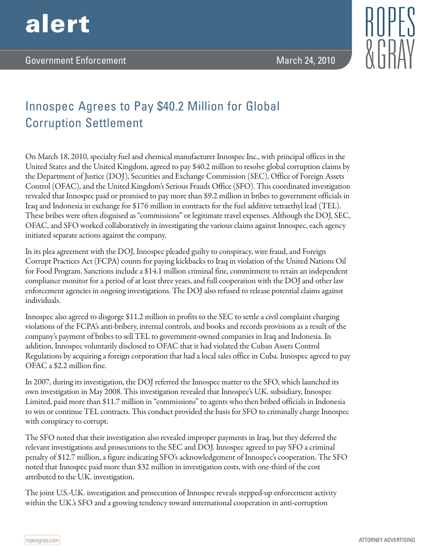

## Innospec Agrees to Pay \$40.2 Million for Global Corruption Settlement

On March 18, 2010, specialty fuel and chemical manufacturer Innospec Inc., with principal offices in the United States and the United Kingdom, agreed to pay \$40.2 million to resolve global corruption claims by the Department of Justice (DOJ), Securities and Exchange Commission (SEC), Office of Foreign Assets Control (OFAC), and the United Kingdom's Serious Frauds Office (SFO). This coordinated investigation revealed that Innospec paid or promised to pay more than \$9.2 million in bribes to government officials in Iraq and Indonesia in exchange for \$176 million in contracts for the fuel additive tetraethyl lead (TEL). These bribes were often disguised as "commissions" or legitimate travel expenses. Although the DOJ, SEC, OFAC, and SFO worked collaboratively in investigating the various claims against Innospec, each agency initiated separate actions against the company.

In its plea agreement with the DOJ, Innospec pleaded guilty to conspiracy, wire fraud, and Foreign Corrupt Practices Act (FCPA) counts for paying kickbacks to Iraq in violation of the United Nations Oil for Food Program. Sanctions include a \$14.1 million criminal fine, commitment to retain an independent compliance monitor for a period of at least three years, and full cooperation with the DOJ and other law enforcement agencies in ongoing investigations. The DOJ also refused to release potential claims against individuals.

Innospec also agreed to disgorge \$11.2 million in profits to the SEC to settle a civil complaint charging violations of the FCPA's anti-bribery, internal controls, and books and records provisions as a result of the company's payment of bribes to sell TEL to government-owned companies in Iraq and Indonesia. In addition, Innospec voluntarily disclosed to OFAC that it had violated the Cuban Assets Control Regulations by acquiring a foreign corporation that had a local sales office in Cuba. Innospec agreed to pay OFAC a \$2.2 million fine.

In 2007, during its investigation, the DOJ referred the Innospec matter to the SFO, which launched its own investigation in May 2008. This investigation revealed that Innospec's U.K. subsidiary, Innospec Limited, paid more than \$11.7 million in "commissions" to agents who then bribed officials in Indonesia to win or continue TEL contracts. This conduct provided the basis for SFO to criminally charge Innospec with conspiracy to corrupt.

The SFO noted that their investigation also revealed improper payments in Iraq, but they deferred the relevant investigations and prosecutions to the SEC and DOJ. Innospec agreed to pay SFO a criminal penalty of \$12.7 million, a figure indicating SFO's acknowledgement of Innospec's cooperation. The SFO noted that Innospec paid more than \$32 million in investigation costs, with one-third of the cost attributed to the U.K. investigation.

The joint U.S.-U.K. investigation and prosecution of Innospec reveals stepped-up enforcement activity within the U.K.'s SFO and a growing tendency toward international cooperation in anti-corruption